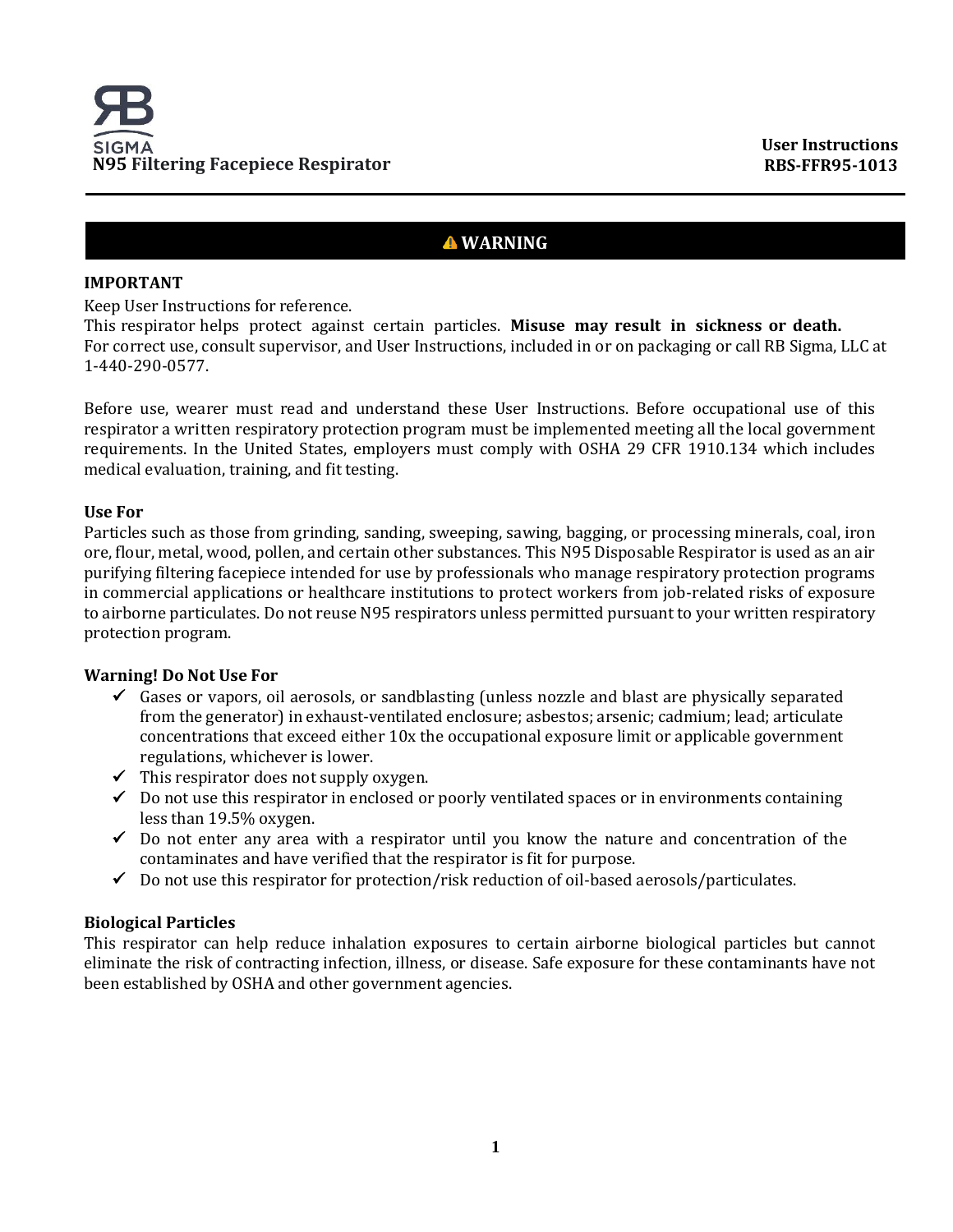# **WARNING**

## **IMPORTANT**

Keep User Instructions for reference.

This respirator helps protect against certain particles. **Misuse may result in sickness or death.** For correct use, consult supervisor, and User Instructions, included in or on packaging or call RB Sigma, LLC at 1-440-290-0577.

Before use, wearer must read and understand these User Instructions. Before occupational use of this respirator a written respiratory protection program must be implemented meeting all the local government requirements. In the United States, employers must comply with OSHA 29 CFR 1910.134 which includes medical evaluation, training, and fit testing.

## **Use For**

Particles such as those from grinding, sanding, sweeping, sawing, bagging, or processing minerals, coal, iron ore, flour, metal, wood, pollen, and certain other substances. This N95 Disposable Respirator is used as an air purifying filtering facepiece intended for use by professionals who manage respiratory protection programs in commercial applications or healthcare institutions to protect workers from job-related risks of exposure to airborne particulates. Do not reuse N95 respirators unless permitted pursuant to your written respiratory protection program.

## **Warning! Do Not Use For**

- $\checkmark$  Gases or vapors, oil aerosols, or sandblasting (unless nozzle and blast are physically separated from the generator) in exhaust-ventilated enclosure; asbestos; arsenic; cadmium; lead; articulate concentrations that exceed either 10x the occupational exposure limit or applicable government regulations, whichever is lower.
- $\checkmark$  This respirator does not supply oxygen.
- ✓ Do not use this respirator in enclosed or poorly ventilated spaces or in environments containing less than 19.5% oxygen.
- $\checkmark$  Do not enter any area with a respirator until you know the nature and concentration of the contaminates and have verified that the respirator is fit for purpose.
- $\checkmark$  Do not use this respirator for protection/risk reduction of oil-based aerosols/particulates.

## **Biological Particles**

This respirator can help reduce inhalation exposures to certain airborne biological particles but cannot eliminate the risk of contracting infection, illness, or disease. Safe exposure for these contaminants have not been established by OSHA and other government agencies.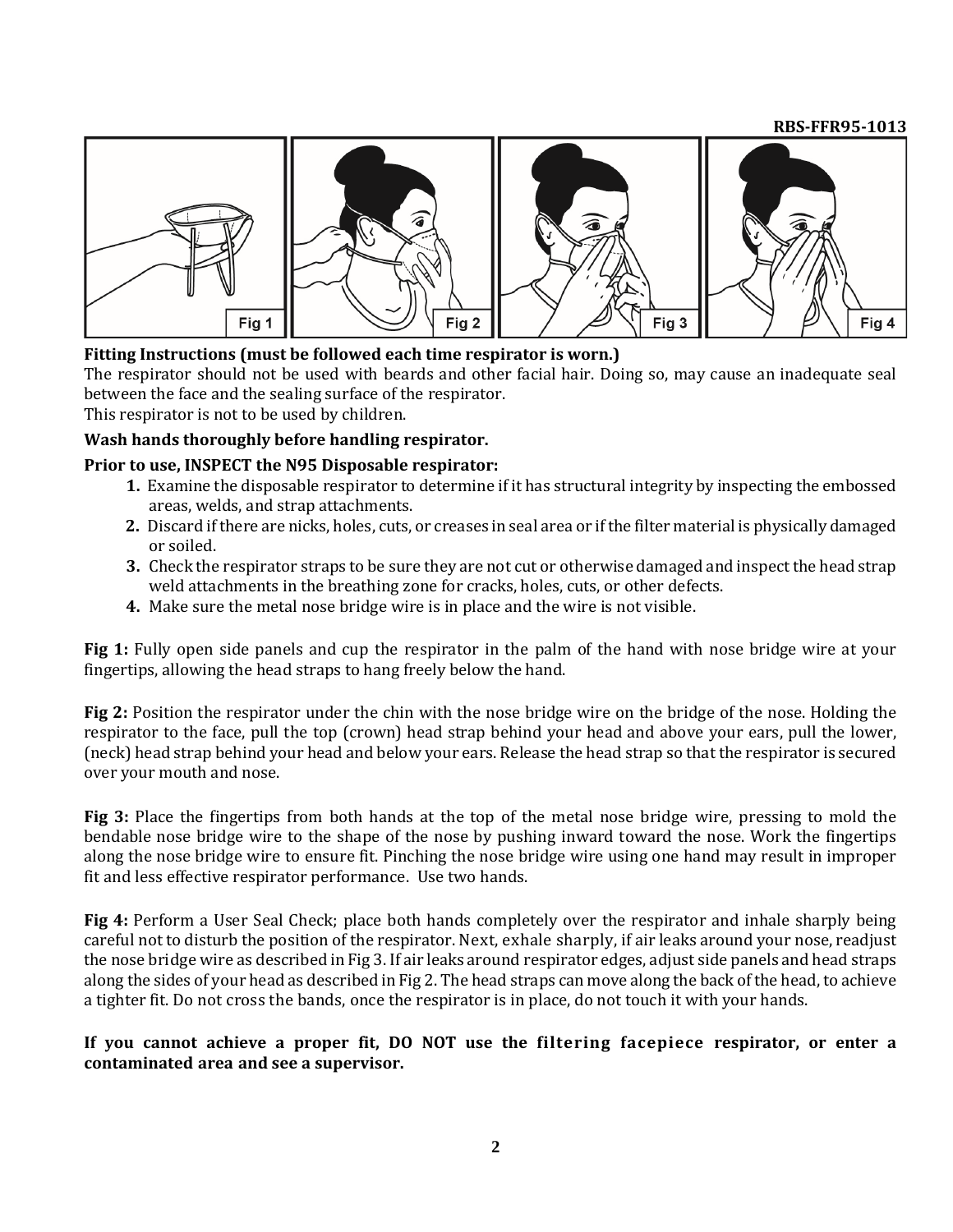#### **RBS-FFR95-1013**



## **Fitting Instructions (must be followed each time respirator is worn.)**

The respirator should not be used with beards and other facial hair. Doing so, may cause an inadequate seal between the face and the sealing surface of the respirator.

This respirator is not to be used by children.

#### **Wash hands thoroughly before handling respirator.**

#### **Prior to use, INSPECT the N95 Disposable respirator:**

- **1.** Examine the disposable respirator to determine if it has structural integrity by inspecting the embossed areas, welds, and strap attachments.
- **2.** Discard if there are nicks, holes, cuts, or creases in seal area or if the filter material is physically damaged or soiled.
- **3.** Check the respirator straps to be sure they are not cut or otherwise damaged and inspect the head strap weld attachments in the breathing zone for cracks, holes, cuts, or other defects.
- **4.** Make sure the metal nose bridge wire is in place and the wire is not visible.

**Fig 1:** Fully open side panels and cup the respirator in the palm of the hand with nose bridge wire at your fingertips, allowing the head straps to hang freely below the hand.

**Fig 2:** Position the respirator under the chin with the nose bridge wire on the bridge of the nose. Holding the respirator to the face, pull the top (crown) head strap behind your head and above your ears, pull the lower, (neck) head strap behind your head and below your ears. Release the head strap so that the respirator is secured over your mouth and nose.

**Fig 3:** Place the fingertips from both hands at the top of the metal nose bridge wire, pressing to mold the bendable nose bridge wire to the shape of the nose by pushing inward toward the nose. Work the fingertips along the nose bridge wire to ensure fit. Pinching the nose bridge wire using one hand may result in improper fit and less effective respirator performance. Use two hands.

**Fig 4:** Perform a User Seal Check; place both hands completely over the respirator and inhale sharply being careful not to disturb the position of the respirator. Next, exhale sharply, if air leaks around your nose, readjust the nose bridge wire as described in Fig 3. If air leaks around respirator edges, adjust side panels and head straps along the sides of your head as described in Fig 2. The head straps can move along the back of the head, to achieve a tighter fit. Do not cross the bands, once the respirator is in place, do not touch it with your hands.

#### **If you cannot achieve a proper fit, DO NOT use the filtering facepiece respirator, or enter a contaminated area and see a supervisor.**